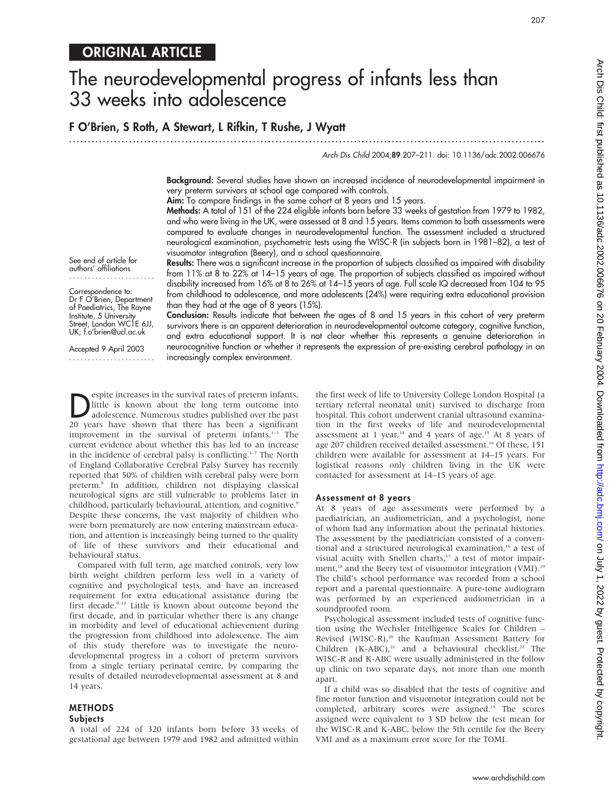## ORIGINAL ARTICLE

# The neurodevelopmental progress of infants less than 33 weeks into adolescence

## F O'Brien, S Roth, A Stewart, L Rifkin, T Rushe, J Wyatt

.............................................................................................................................. .

Arch Dis Child 2004;89:207–211. doi: 10.1136/adc.2002.006676

207

Background: Several studies have shown an increased incidence of neurodevelopmental impairment in very preterm survivors at school age compared with controls.

Aim: To compare findings in the same cohort at 8 years and 15 years.

Methods: A total of 151 of the 224 eligible infants born before 33 weeks of gestation from 1979 to 1982, and who were living in the UK, were assessed at 8 and 15 years. Items common to both assessments were compared to evaluate changes in neurodevelopmental function. The assessment included a structured neurological examination, psychometric tests using the WISC-R (in subjects born in 1981–82), a test of visuomotor integration (Beery), and a school questionnaire.

See end of article for authors' affiliations

.......................

Correspondence to: Dr F O'Brien, Department of Paediatrics, The Rayne Institute, 5 University Street, London WC1E 6JJ, UK; f.o'brien@ucl.ac.uk

Accepted 9 April 2003 ....................... Results: There was a significant increase in the proportion of subjects classified as impaired with disability from 11% at 8 to 22% at 14–15 years of age. The proportion of subjects classified as impaired without disability increased from 16% at 8 to 26% at 14–15 years of age. Full scale IQ decreased from 104 to 95 from childhood to adolescence, and more adolescents (24%) were requiring extra educational provision than they had at the age of 8 years (15%).

Conclusion: Results indicate that between the ages of 8 and 15 years in this cohort of very preterm survivors there is an apparent deterioration in neurodevelopmental outcome category, cognitive function, and extra educational support. It is not clear whether this represents a genuine deterioration in neurocognitive function or whether it represents the expression of pre-existing cerebral pathology in an increasingly complex environment.

Superity increases in the survival rates of preterm infants,<br>adolescence. Numerous studies published over the past<br>20 years, baye, shown, that, there has been a significant little is known about the long term outcome into 20 years have shown that there has been a significant improvement in the survival of preterm infants.<sup>1-3</sup> The current evidence about whether this has led to an increase in the incidence of cerebral palsy is conflicting. $3-7$  The North of England Collaborative Cerebral Palsy Survey has recently reported that 50% of children with cerebral palsy were born preterm.8 In addition, children not displaying classical neurological signs are still vulnerable to problems later in childhood, particularly behavioural, attention, and cognitive.<sup>9</sup> Despite these concerns, the vast majority of children who were born prematurely are now entering mainstream education, and attention is increasingly being turned to the quality of life of these survivors and their educational and behavioural status.

Compared with full term, age matched controls, very low birth weight children perform less well in a variety of cognitive and psychological tests, and have an increased requirement for extra educational assistance during the first decade.<sup>9-13</sup> Little is known about outcome beyond the first decade, and in particular whether there is any change in morbidity and level of educational achievement during the progression from childhood into adolescence. The aim of this study therefore was to investigate the neurodevelopmental progress in a cohort of preterm survivors from a single tertiary perinatal centre, by comparing the results of detailed neurodevelopmental assessment at 8 and 14 years.

#### METHODS Subjects

A total of 224 of 320 infants born before 33 weeks of gestational age between 1979 and 1982 and admitted within the first week of life to University College London Hospital (a tertiary referral neonatal unit) survived to discharge from hospital. This cohort underwent cranial ultrasound examination in the first weeks of life and neurodevelopmental assessment at 1 year,<sup>14</sup> and 4 years of age.<sup>15</sup> At 8 years of age 207 children received detailed assessment.<sup>16</sup> Of these, 151 children were available for assessment at 14–15 years. For logistical reasons only children living in the UK were contacted for assessment at 14–15 years of age.

#### Assessment at 8 years

At 8 years of age assessments were performed by a paediatrician, an audiometrician, and a psychologist, none of whom had any information about the perinatal histories. The assessment by the paediatrician consisted of a conventional and a structured neurological examination,<sup>16</sup> a test of visual acuity with Snellen charts,<sup>17</sup> a test of motor impairment,<sup>18</sup> and the Beery test of visuomotor integration (VMI).<sup>19</sup> The child's school performance was recorded from a school report and a parental questionnaire. A pure-tone audiogram was performed by an experienced audiometrician in a soundproofed room.

Psychological assessment included tests of cognitive function using the Wechsler Intelligence Scales for Children – Revised (WISC-R),<sup>20</sup> the Kaufman Assessment Battery for Children  $(K-ABC)$ ,<sup>21</sup> and a behavioural checklist.<sup>22</sup> The WISC-R and K-ABC were usually administered in the follow up clinic on two separate days, not more than one month apart.

If a child was so disabled that the tests of cognitive and fine motor function and visuomotor integration could not be completed, arbitrary scores were assigned.<sup>15</sup> The scores assigned were equivalent to 3 SD below the test mean for the WISC-R and K-ABC, below the 5th centile for the Beery VMI and as a maximum error score for the TOMI.

www.archdischild.com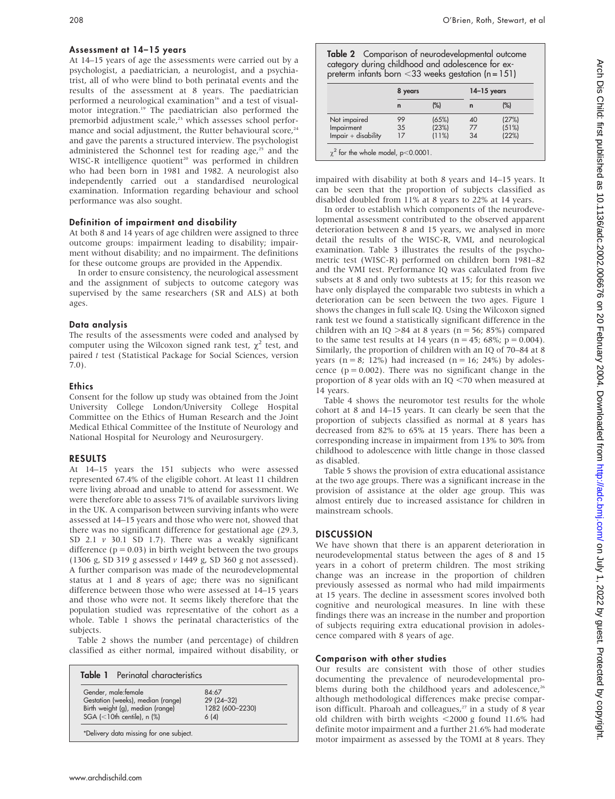#### Assessment at 14–15 years

At 14–15 years of age the assessments were carried out by a psychologist, a paediatrician, a neurologist, and a psychiatrist, all of who were blind to both perinatal events and the results of the assessment at 8 years. The paediatrician performed a neurological examination<sup>16</sup> and a test of visualmotor integration.<sup>19</sup> The paediatrician also performed the premorbid adjustment scale,<sup>23</sup> which assesses school performance and social adjustment, the Rutter behavioural score,<sup>24</sup> and gave the parents a structured interview. The psychologist administered the Schonnel test for reading age,<sup>25</sup> and the WISC-R intelligence quotient<sup>20</sup> was performed in children who had been born in 1981 and 1982. A neurologist also independently carried out a standardised neurological examination. Information regarding behaviour and school performance was also sought.

## Definition of impairment and disability

At both 8 and 14 years of age children were assigned to three outcome groups: impairment leading to disability; impairment without disability; and no impairment. The definitions for these outcome groups are provided in the Appendix.

In order to ensure consistency, the neurological assessment and the assignment of subjects to outcome category was supervised by the same researchers (SR and ALS) at both ages.

#### Data analysis

The results of the assessments were coded and analysed by computer using the Wilcoxon signed rank test,  $\chi^2$  test, and paired t test (Statistical Package for Social Sciences, version 7.0).

#### **Ethics**

Consent for the follow up study was obtained from the Joint University College London/University College Hospital Committee on the Ethics of Human Research and the Joint Medical Ethical Committee of the Institute of Neurology and National Hospital for Neurology and Neurosurgery.

## RESULTS

At 14–15 years the 151 subjects who were assessed represented 67.4% of the eligible cohort. At least 11 children were living abroad and unable to attend for assessment. We were therefore able to assess 71% of available survivors living in the UK. A comparison between surviving infants who were assessed at 14–15 years and those who were not, showed that there was no significant difference for gestational age (29.3, SD 2.1  $v$  30.1 SD 1.7). There was a weakly significant difference ( $p = 0.03$ ) in birth weight between the two groups (1306 g, SD 319 g assessed v 1449 g, SD 360 g not assessed). A further comparison was made of the neurodevelopmental status at 1 and 8 years of age; there was no significant difference between those who were assessed at 14–15 years and those who were not. It seems likely therefore that the population studied was representative of the cohort as a whole. Table 1 shows the perinatal characteristics of the subjects.

Table 2 shows the number (and percentage) of children classified as either normal, impaired without disability, or

| <b>Table 1</b> Perinatal characteristics                                                                                                            |                                                |
|-----------------------------------------------------------------------------------------------------------------------------------------------------|------------------------------------------------|
| Gender, male: female<br>Gestation (weeks), median (range)<br>Birth weight (g), median (range)<br>SGA $\left($ < 10th centile), n $\left(\% \right)$ | 84.67<br>29 (24-32)<br>1282 (600-2230)<br>6(4) |
| *Delivery data missing for one subject.                                                                                                             |                                                |

Table 2 Comparison of neurodevelopmental outcome category during childhood and adolescence for expreterm infants born  $<$ 33 weeks gestation (n = 151)

|                       | 8 years     |       | $14-15$ years |       |
|-----------------------|-------------|-------|---------------|-------|
|                       | $\mathbf n$ | (%)   | n             | (%)   |
| Not impaired          | 99          | (65%) | 40            | (27%) |
| Impairment            | 35          | (23%) | 77            | (51%) |
| $Impair + disability$ | 17          | (11%) | 34            | (22%) |

impaired with disability at both 8 years and 14–15 years. It can be seen that the proportion of subjects classified as disabled doubled from 11% at 8 years to 22% at 14 years.

In order to establish which components of the neurodevelopmental assessment contributed to the observed apparent deterioration between 8 and 15 years, we analysed in more detail the results of the WISC-R, VMI, and neurological examination. Table 3 illustrates the results of the psychometric test (WISC-R) performed on children born 1981–82 and the VMI test. Performance IQ was calculated from five subsets at 8 and only two subtests at 15; for this reason we have only displayed the comparable two subtests in which a deterioration can be seen between the two ages. Figure 1 shows the changes in full scale IQ. Using the Wilcoxon signed rank test we found a statistically significant difference in the children with an IQ  $>84$  at 8 years (n = 56; 85%) compared to the same test results at 14 years ( $n = 45$ ; 68%;  $p = 0.004$ ). Similarly, the proportion of children with an IQ of 70–84 at 8 years ( $n = 8$ ; 12%) had increased ( $n = 16$ ; 24%) by adolescence ( $p = 0.002$ ). There was no significant change in the proportion of 8 year olds with an IQ  $<$  70 when measured at 14 years.

Table 4 shows the neuromotor test results for the whole cohort at 8 and 14–15 years. It can clearly be seen that the proportion of subjects classified as normal at 8 years has decreased from 82% to 65% at 15 years. There has been a corresponding increase in impairment from 13% to 30% from childhood to adolescence with little change in those classed as disabled.

Table 5 shows the provision of extra educational assistance at the two age groups. There was a significant increase in the provision of assistance at the older age group. This was almost entirely due to increased assistance for children in mainstream schools.

## **DISCUSSION**

We have shown that there is an apparent deterioration in neurodevelopmental status between the ages of 8 and 15 years in a cohort of preterm children. The most striking change was an increase in the proportion of children previously assessed as normal who had mild impairments at 15 years. The decline in assessment scores involved both cognitive and neurological measures. In line with these findings there was an increase in the number and proportion of subjects requiring extra educational provision in adolescence compared with 8 years of age.

### Comparison with other studies

Our results are consistent with those of other studies documenting the prevalence of neurodevelopmental problems during both the childhood years and adolescence,<sup>26</sup> although methodological differences make precise comparison difficult. Pharoah and colleagues, $27$  in a study of 8 year old children with birth weights  $\langle 2000 \text{ g}$  found 11.6% had definite motor impairment and a further 21.6% had moderate motor impairment as assessed by the TOMI at 8 years. They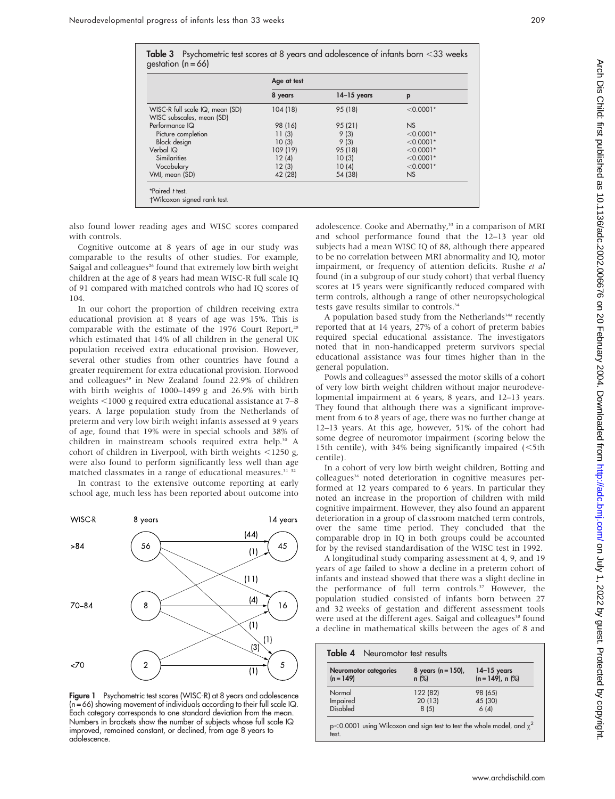|                                 | Age at test |               |             |
|---------------------------------|-------------|---------------|-------------|
|                                 | 8 years     | $14-15$ years | p           |
| WISC-R full scale IQ, mean (SD) | 104(18)     | 95 (18)       | $< 0.0001*$ |
| WISC subscales, mean (SD)       |             |               |             |
| Performance IQ                  | 98 (16)     | 95 (21)       | NS          |
| Picture completion              | 11(3)       | 9(3)          | $< 0.0001*$ |
| <b>Block</b> design             | 10(3)       | 9(3)          | $< 0.0001*$ |
| Verbal IQ                       | 109 (19)    | 95 (18)       | $< 0.0001*$ |
| Similarities                    | 12(4)       | 10(3)         | $< 0.0001*$ |
| Vocabulary                      | 12(3)       | 10(4)         | $< 0.0001*$ |
| VMI, mean (SD)                  | 42 (28)     | 54 (38)       | <b>NS</b>   |

also found lower reading ages and WISC scores compared with controls.

Cognitive outcome at 8 years of age in our study was comparable to the results of other studies. For example, Saigal and colleagues<sup>26</sup> found that extremely low birth weight children at the age of 8 years had mean WISC-R full scale IQ of 91 compared with matched controls who had IQ scores of 104.

In our cohort the proportion of children receiving extra educational provision at 8 years of age was 15%. This is comparable with the estimate of the 1976 Court Report, $28$ which estimated that 14% of all children in the general UK population received extra educational provision. However, several other studies from other countries have found a greater requirement for extra educational provision. Horwood and colleagues<sup>29</sup> in New Zealand found 22.9% of children with birth weights of 1000–1499 g and 26.9% with birth weights <1000 g required extra educational assistance at 7–8 years. A large population study from the Netherlands of preterm and very low birth weight infants assessed at 9 years of age, found that 19% were in special schools and 38% of children in mainstream schools required extra help.30 A cohort of children in Liverpool, with birth weights  $\leq$ 1250 g, were also found to perform significantly less well than age matched classmates in a range of educational measures.<sup>31</sup><sup>32</sup> In contrast to the extensive outcome reporting at early

school age, much less has been reported about outcome into



Figure 1 Psychometric test scores (WISC-R) at 8 years and adolescence (n = 66) showing movement of individuals according to their full scale IQ. Each category corresponds to one standard deviation from the mean. Numbers in brackets show the number of subjects whose full scale IQ improved, remained constant, or declined, from age 8 years to adolescence.

adolescence. Cooke and Abernathy,<sup>33</sup> in a comparison of MRI and school performance found that the 12–13 year old subjects had a mean WISC IQ of 88, although there appeared to be no correlation between MRI abnormality and IQ, motor impairment, or frequency of attention deficits. Rushe et al found (in a subgroup of our study cohort) that verbal fluency scores at 15 years were significantly reduced compared with term controls, although a range of other neuropsychological tests gave results similar to controls.<sup>34</sup>

A population based study from the Netherlands<sup>34a</sup> recently reported that at 14 years, 27% of a cohort of preterm babies required special educational assistance. The investigators noted that in non-handicapped preterm survivors special educational assistance was four times higher than in the general population.

Powls and colleagues<sup>35</sup> assessed the motor skills of a cohort of very low birth weight children without major neurodevelopmental impairment at 6 years, 8 years, and 12–13 years. They found that although there was a significant improvement from 6 to 8 years of age, there was no further change at 12–13 years. At this age, however, 51% of the cohort had some degree of neuromotor impairment (scoring below the 15th centile), with  $34\%$  being significantly impaired ( $\leq 5$ th centile).

In a cohort of very low birth weight children, Botting and colleagues<sup>36</sup> noted deterioration in cognitive measures performed at 12 years compared to 6 years. In particular they noted an increase in the proportion of children with mild cognitive impairment. However, they also found an apparent deterioration in a group of classroom matched term controls, over the same time period. They concluded that the comparable drop in IQ in both groups could be accounted for by the revised standardisation of the WISC test in 1992.

A longitudinal study comparing assessment at 4, 9, and 19 years of age failed to show a decline in a preterm cohort of infants and instead showed that there was a slight decline in the performance of full term controls.<sup>37</sup> However, the population studied consisted of infants born between 27 and 32 weeks of gestation and different assessment tools were used at the different ages. Saigal and colleagues<sup>38</sup> found a decline in mathematical skills between the ages of 8 and

| Neuromotor categories<br>$(n = 149)$ | 8 years $(n = 150)$ ,<br>$n$ (%) | $14-15$ years<br>$(n = 149)$ , n $(%)$ |
|--------------------------------------|----------------------------------|----------------------------------------|
| Normal                               | 122 (82)                         | 98 (65)                                |
| Impaired                             | 20(13)                           | 45 (30)                                |
| <b>Disabled</b>                      | 8(5)                             | 6(4)                                   |

test.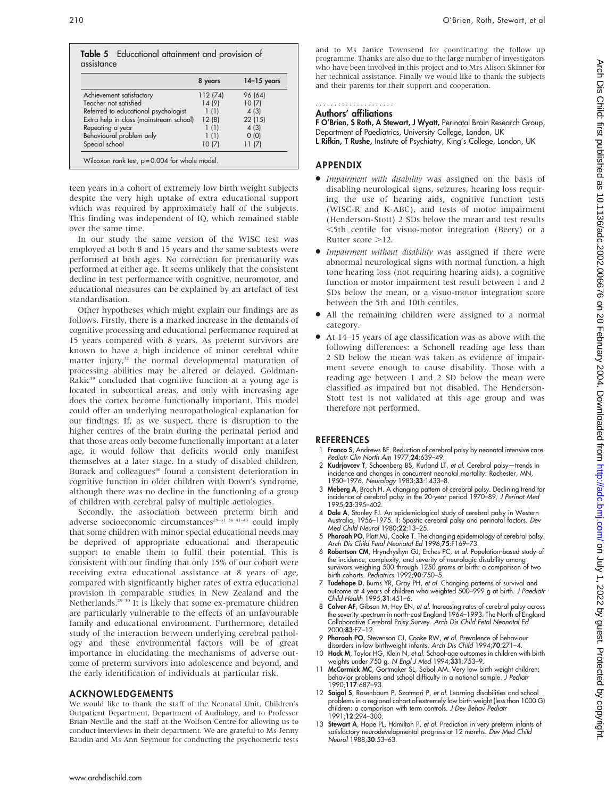|            | Table 5 Educational attainment and provision of |  |  |
|------------|-------------------------------------------------|--|--|
| assistance |                                                 |  |  |

|                                         | 8 years  | $14-15$ years |
|-----------------------------------------|----------|---------------|
| Achievement satisfactory                | 112 (74) | 96 (64)       |
| Teacher not satisfied                   | 14 (9)   | 10(7)         |
| Referred to educational psychologist    | 1(1)     | 4(3)          |
| Extra help in class (mainstream school) | 12(8)    | 22(15)        |
| Repeating a year                        | 1(1)     | 4(3)          |
| Behavioural problem only                | 1(1)     | 0(0)          |
| Special school                          | 10(7)    | 11(7)         |

teen years in a cohort of extremely low birth weight subjects despite the very high uptake of extra educational support which was required by approximately half of the subjects. This finding was independent of IQ, which remained stable over the same time.

In our study the same version of the WISC test was employed at both 8 and 15 years and the same subtests were performed at both ages. No correction for prematurity was performed at either age. It seems unlikely that the consistent decline in test performance with cognitive, neuromotor, and educational measures can be explained by an artefact of test standardisation.

Other hypotheses which might explain our findings are as follows. Firstly, there is a marked increase in the demands of cognitive processing and educational performance required at 15 years compared with 8 years. As preterm survivors are known to have a high incidence of minor cerebral white matter injury, $32$  the normal developmental maturation of processing abilities may be altered or delayed. Goldman-Rakic<sup>39</sup> concluded that cognitive function at a young age is located in subcortical areas, and only with increasing age does the cortex become functionally important. This model could offer an underlying neuropathological explanation for our findings. If, as we suspect, there is disruption to the higher centres of the brain during the perinatal period and that those areas only become functionally important at a later age, it would follow that deficits would only manifest themselves at a later stage. In a study of disabled children, Burack and colleagues<sup>40</sup> found a consistent deterioration in cognitive function in older children with Down's syndrome, although there was no decline in the functioning of a group of children with cerebral palsy of multiple aetiologies.

Secondly, the association between preterm birth and adverse socioeconomic circumstances<sup>29–31</sup> <sup>36 41–43</sup> could imply that some children with minor special educational needs may be deprived of appropriate educational and therapeutic support to enable them to fulfil their potential. This is consistent with our finding that only 15% of our cohort were receiving extra educational assistance at 8 years of age, compared with significantly higher rates of extra educational provision in comparable studies in New Zealand and the Netherlands.<sup>29</sup> <sup>30</sup> It is likely that some ex-premature children are particularly vulnerable to the effects of an unfavourable family and educational environment. Furthermore, detailed study of the interaction between underlying cerebral pathology and these environmental factors will be of great importance in elucidating the mechanisms of adverse outcome of preterm survivors into adolescence and beyond, and the early identification of individuals at particular risk.

## ACKNOWLEDGEMENTS

We would like to thank the staff of the Neonatal Unit, Children's Outpatient Department, Department of Audiology, and to Professor Brian Neville and the staff at the Wolfson Centre for allowing us to conduct interviews in their department. We are grateful to Ms Jenny Baudin and Ms Ann Seymour for conducting the psychometric tests

and to Ms Janice Townsend for coordinating the follow up programme. Thanks are also due to the large number of investigators who have been involved in this project and to Mrs Alison Skinner for her technical assistance. Finally we would like to thank the subjects and their parents for their support and cooperation.

## .....................

## Authors' affiliations

F O'Brien, S Roth, A Stewart, J Wyatt, Perinatal Brain Research Group, Department of Paediatrics, University College, London, UK L Rifkin, T Rushe, Institute of Psychiatry, King's College, London, UK

## APPENDIX

- Impairment with disability was assigned on the basis of disabling neurological signs, seizures, hearing loss requiring the use of hearing aids, cognitive function tests (WISC-R and K-ABC), and tests of motor impairment (Henderson-Stott) 2 SDs below the mean and test results  $\le$ 5th centile for visuo-motor integration (Beery) or a Rutter score  $>12$ .
- $\bullet$  Impairment without disability was assigned if there were abnormal neurological signs with normal function, a high tone hearing loss (not requiring hearing aids), a cognitive function or motor impairment test result between 1 and 2 SDs below the mean, or a visuo-motor integration score between the 5th and 10th centiles.
- All the remaining children were assigned to a normal category.
- At 14–15 years of age classification was as above with the following differences: a Schonell reading age less than 2 SD below the mean was taken as evidence of impairment severe enough to cause disability. Those with a reading age between 1 and 2 SD below the mean were classified as impaired but not disabled. The Henderson-Stott test is not validated at this age group and was therefore not performed.

## **REFERENCES**

- 1 Franco S, Andrews BF. Reduction of cerebral palsy by neonatal intensive care. Pediatr Clin North Am 1977;24:639–49.
- 2 Kudrjavcev T, Schoenberg BS, Kurland LT, et al. Cerebral palsy-trends in incidence and changes in concurrent neonatal mortality: Rochester, MN, 1950–1976. Neurology 1983;33:1433–8.
- 3 Meberg A, Broch H. A changing pattern of cerebral palsy. Declining trend for incidence of cerebral palsy in the 20-year period 1970–89. J Perinat Med 1995;23:395–402.
- 4 Dale A, Stanley FJ. An epidemiological study of cerebral palsy in Western Australia, 1956–1975. II: Spastic cerebral palsy and perinatal factors. Dev Med Child Neurol 1980;22:13–25.
- 5 Pharoah PO, Platt MJ, Cooke T. The changing epidemiology of cerebral palsy. Arch Dis Child Fetal Neonatal Ed 1996;75:F169–73.
- 6 Robertson CM, Hrynchyshyn GJ, Etches PC, et al. Population-based study of the incidence, complexity, and severity of neurologic disability among survivors weighing 500 through 1250 grams at birth: a comparison of two birth cohorts. Pediatrics 1992;90:750–5.
- 7 Tudehope D, Burns YR, Gray PH, et al. Changing patterns of survival and outcome at 4 years of children who weighted 500–999 g at birth. J Paediatr Child Health 1995;31:451–6.
- 8 Colver AF, Gibson M, Hey EN, et al. Increasing rates of cerebral palsy across the severity spectrum in north-east England 1964–1993. The North of England Collaborative Cerebral Palsy Survey. Arch Dis Child Fetal Neonatal Ed 2000;83:F7–12.
- 9 Pharoah PO, Stevenson CJ, Cooke RW, et al. Prevalence of behaviour
- disorders in low birthweight infants. Arch Dis Child 1994;**70**:271–4.<br>10 **Hack M**, Taylor HG, Klein N, *et al.* School-age outcomes in children with birth
- weights under 750 g. N Engl J Med 1994;**331**:753–9.<br>11 **McCormick MC**, Gortmaker SL, Sobol AM. Very low birth weight children: behavior problems and school difficulty in a national sample. J Pediatr 1990;117:687–93.
- 12 Saigal S, Rosenbaum P, Szatmari P, et al. Learning disabilities and school problems in a regional cohort of extremely low birth weight (less than 1000 G) children: a comparison with term controls. J Dev Behav Pediatr 1991;12:294–300.
- 13 Stewart A, Hope PL, Hamilton P, et al. Prediction in very preterm infants of satisfactory neurodevelopmental progress at 12 months. Dev Med Child Neurol 1988;30:53–63.